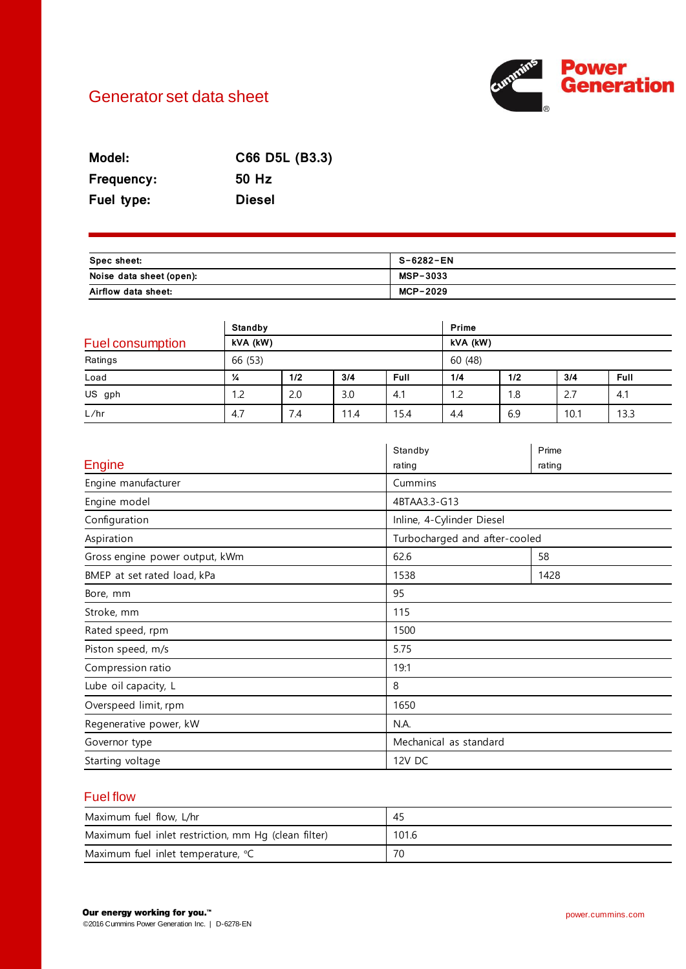# Generator set data sheet



| Model:     | C66 D5L (B3.3) |
|------------|----------------|
| Frequency: | 50 Hz          |
| Fuel type: | <b>Diesel</b>  |

| Spec sheet:              | S-6282-EN       |
|--------------------------|-----------------|
| Noise data sheet (open): | <b>MSP-3033</b> |
| Airflow data sheet:      | MCP-2029        |

|                  | Standby |          |      | Prime       |     |          |      |             |  |
|------------------|---------|----------|------|-------------|-----|----------|------|-------------|--|
| Fuel consumption |         | kVA (kW) |      |             |     | kVA (kW) |      |             |  |
| Ratings          | 66 (53) |          |      | 60 (48)     |     |          |      |             |  |
| Load             | ¼       | 1/2      | 3/4  | <b>Full</b> | 1/4 | 1/2      | 3/4  | <b>Full</b> |  |
| US gph           | 1.2     | 2.0      | 3.0  | 4.1         | 1.2 | 1.8      | 2.7  | 4.1         |  |
| L/hr             | 4.7     | 7.4      | 11.4 | 15.4        | 4.4 | 6.9      | 10.1 | 13.3        |  |

|                                | Standby                       | Prime  |  |
|--------------------------------|-------------------------------|--------|--|
| <b>Engine</b>                  | rating                        | rating |  |
| Engine manufacturer            | Cummins                       |        |  |
| Engine model                   | 4BTAA3.3-G13                  |        |  |
| Configuration                  | Inline, 4-Cylinder Diesel     |        |  |
| Aspiration                     | Turbocharged and after-cooled |        |  |
| Gross engine power output, kWm | 62.6                          | 58     |  |
| BMEP at set rated load, kPa    | 1538                          | 1428   |  |
| Bore, mm                       | 95                            |        |  |
| Stroke, mm                     | 115                           |        |  |
| Rated speed, rpm               | 1500                          |        |  |
| Piston speed, m/s              | 5.75                          |        |  |
| Compression ratio              | 19:1                          |        |  |
| Lube oil capacity, L           | 8                             |        |  |
| Overspeed limit, rpm           | 1650                          |        |  |
| Regenerative power, kW         | N.A.                          |        |  |
| Governor type                  | Mechanical as standard        |        |  |
| Starting voltage               | 12V DC                        |        |  |

# Fuel flow

| Maximum fuel flow, L/hr                              | -45   |
|------------------------------------------------------|-------|
| Maximum fuel inlet restriction, mm Hq (clean filter) | 101.6 |
| Maximum fuel inlet temperature, °C                   | 70    |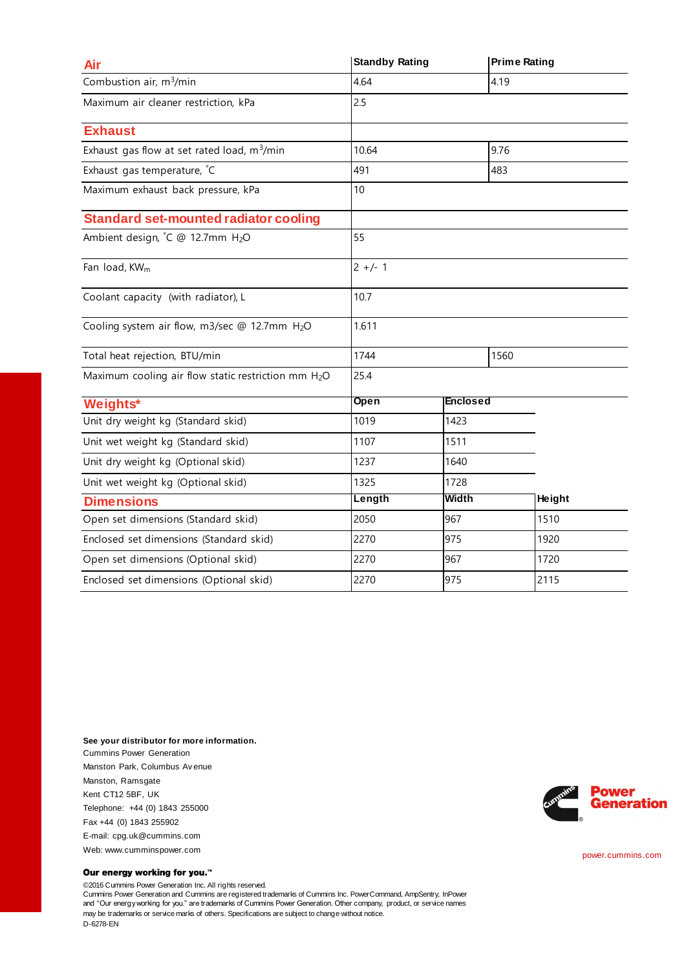| Air                                                     | <b>Standby Rating</b> |                 | <b>Prime Rating</b> |        |
|---------------------------------------------------------|-----------------------|-----------------|---------------------|--------|
| Combustion air, m <sup>3</sup> /min                     | 4.64                  |                 | 4.19                |        |
| Maximum air cleaner restriction, kPa                    | 2.5                   |                 |                     |        |
| <b>Exhaust</b>                                          |                       |                 |                     |        |
| Exhaust gas flow at set rated load, m <sup>3</sup> /min | 10.64                 |                 | 9.76                |        |
| Exhaust gas temperature, °C                             | 491                   |                 | 483                 |        |
| Maximum exhaust back pressure, kPa                      | 10                    |                 |                     |        |
| <b>Standard set-mounted radiator cooling</b>            |                       |                 |                     |        |
| Ambient design, °C @ 12.7mm H2O                         | 55                    |                 |                     |        |
| Fan load, KW <sub>m</sub>                               | $2 +/- 1$             |                 |                     |        |
| Coolant capacity (with radiator), L                     | 10.7                  |                 |                     |        |
| Cooling system air flow, m3/sec @ 12.7mm H2O            | 1.611                 |                 |                     |        |
| Total heat rejection, BTU/min                           | 1744                  |                 | 1560                |        |
| Maximum cooling air flow static restriction mm H2O      | 25.4                  |                 |                     |        |
| Weights*                                                | Open                  | <b>Enclosed</b> |                     |        |
| Unit dry weight kg (Standard skid)                      | 1019                  | 1423            |                     |        |
| Unit wet weight kg (Standard skid)                      | 1107<br>1511          |                 |                     |        |
| Unit dry weight kg (Optional skid)                      | 1237                  | 1640            |                     |        |
| Unit wet weight kg (Optional skid)                      | 1325                  | 1728            |                     |        |
| <b>Dimensions</b>                                       | Length                | <b>Width</b>    |                     | Height |
| Open set dimensions (Standard skid)                     | 2050                  | 967             |                     | 1510   |
| Enclosed set dimensions (Standard skid)                 | 2270                  | 975             |                     | 1920   |
| Open set dimensions (Optional skid)                     | 2270                  | 967             |                     | 1720   |
| Enclosed set dimensions (Optional skid)                 | 2270                  | 975             |                     | 2115   |

**See your distributor for more information.** Cummins Power Generation Manston Park, Columbus Av enue Manston, Ramsgate Kent CT12 5BF, UK Telephone: +44 (0) 1843 255000 Fax +44 (0) 1843 255902 E-mail: cpg.uk@cummins.com Web: www.cumminspower.com

#### Our energy working for you.™

©2016 Cummins Power Generation Inc. All rights reserved. Cummins Power Generation and Cummins are registered trademarks of Cummins Inc. PowerCommand, AmpSentry, InPower and "Our energy working for you." are trademarks of Cummins Power Generation. Other company, product, or service names may be trademarks or service marks of others. Specifications are subject to change without notice. D-6278-EN



power.cummins.com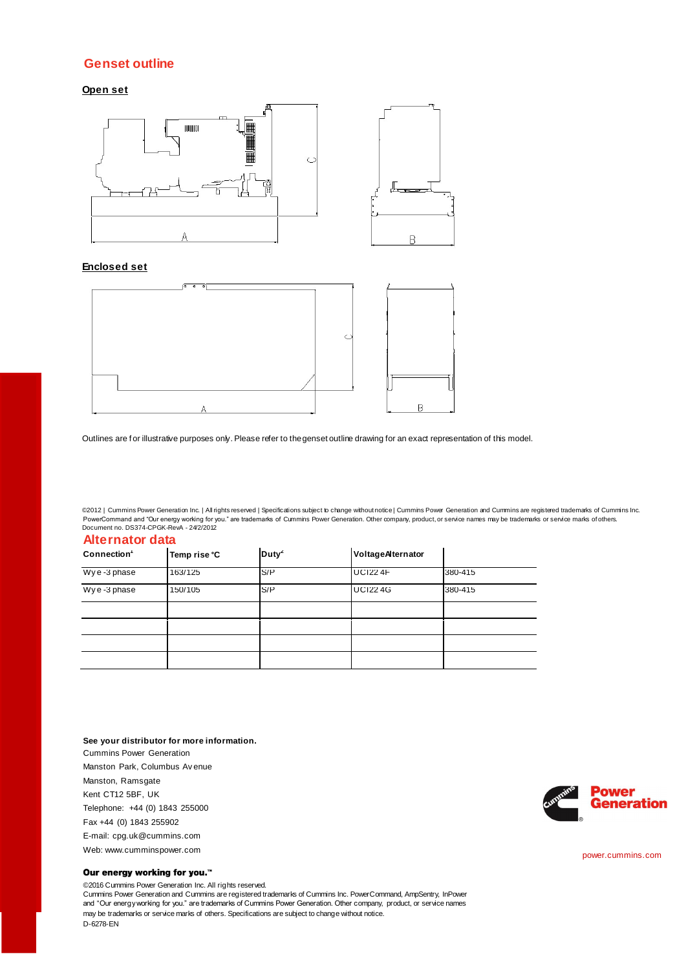### **Genset outline**

**Open set**



### **Enclosed set**



Outlines are for illustrative purposes only. Please refer to the genset outline drawing for an exact representation of this model.

©2012 | Cummins Power Generation Inc. | All rights reserved | Specifications subject to change without notice | Cummins Power Generation and Cummins are registered trademarks of Cummins Inc. PowerCommand and "Our energy working for you." are trademarks of Cummins Power Generation. Other company, product, or service names may be trademarks or service marks of others.<br>Document no. DS374-CPGK-RevA - 24/2/2012

| <b>Alternator data</b> |                   |                   |         |  |  |  |
|------------------------|-------------------|-------------------|---------|--|--|--|
| Temp rise °C           | Duty <sup>2</sup> | VoltageAlternator |         |  |  |  |
| 163/125                | S/P               | <b>UCI22 4F</b>   | 380-415 |  |  |  |
| 150/105                | S/P               | <b>UCI224G</b>    | 380-415 |  |  |  |
|                        |                   |                   |         |  |  |  |
|                        |                   |                   |         |  |  |  |
|                        |                   |                   |         |  |  |  |
|                        |                   |                   |         |  |  |  |
|                        |                   |                   |         |  |  |  |

**See your distributor for more information.** Cummins Power Generation Manston Park, Columbus Av enue Manston, Ramsgate Kent CT12 5BF, UK Telephone: +44 (0) 1843 255000 Fax +44 (0) 1843 255902 E-mail: cpg.uk@cummins.com Web: www.cumminspower.com

#### Our energy working for you.™

©2016 Cummins Power Generation Inc. All rights reserved. Cummins Power Generation and Cummins are registered trademarks of Cummins Inc. PowerCommand, AmpSentry, InPower and "Our energy working for you." are trademarks of Cummins Power Generation. Other company, product, or service names may be trademarks or service marks of others. Specifications are subject to change without notice. D-6278-EN



power.cummins.com